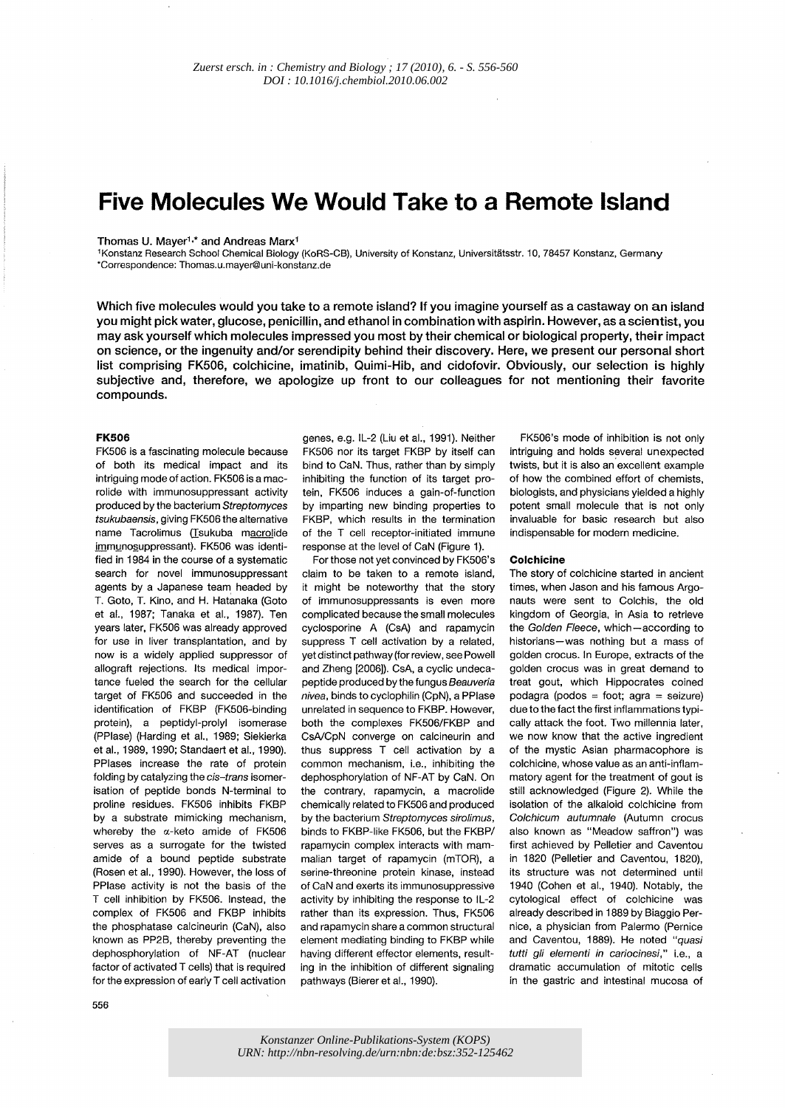# **Five Molecules We Would Take to a Remote Island**

## Thomas U. Mayer<sup>1,\*</sup> and Andreas Marx<sup>1</sup>

lKonstanz Research School Chemical Biology (KoRS-CB), University of Konstanz, Universitatsstr. 10, 78457 Konstanz, Germany 'Correspondence: Thomas.u.mayer@uni-konstanz.de

Which five molecules would you take to a remote island? **If** you imagine yourself as a castaway on an island you might pick water, glucose, penicillin, and ethanol in combination with aspirin. However, as a scientist, you may ask yourself which molecules impressed you most by their chemical or biological property, their impact on science, or the ingenuity and/or serendipity behind their discovery. Here, we present our personal short list comprising FK506, colchicine, imatinib, Quimi-Hib, and cidofovir. Obviously, our selection is highly subjective and, therefore, we apologize up front to our colleagues for not mentioning their favorite compounds.

### **FK506**

FK506 is a fascinating molecule because of both its medical impact and its intriguing mode of action. FK506 is a macrolide with immunosuppressant activity produced by the bacterium Streptomyces tsukubaensis, giving FK506 the alternative name Tacrolimus (Tsukuba macrolide immunosuppressant). FK506 was identified in 1984 in the course of a systematic search for novel immunosuppressant agents by a Japanese team headed by T. Goto, T. Kino, and H. Hatanaka (Goto et aI., 1987; Tanaka et aI., 1987). Ten years later, FK506 was already approved for use in liver transplantation, and by now is a widely applied suppressor of allograft rejections. Its medical importance fueled the search for the cellular target of FK506 and succeeded in the identification of FKBP (FK506-binding protein), a peptidyl-prolyl isomerase (PPlase) (Harding et aI., 1989; Siekierka et aI., 1989, 1990; Standaert et aI., 1990). PPlases increase the rate of protein folding by catalyzing the cis-trans isomerisation of peptide bonds N-terminal to proline residues. FK506 inhibits FKBP by a substrate mimicking mechanism, whereby the a-keto amide of FK506 serves as a surrogate for the twisted amide of a bound peptide substrate (Rosen et aI., 1990). However, the loss of PPlase activity is not the basis of the T cell inhibition by FK506. Instead, the complex of FK506 and FKBP inhibits the phosphatase calcineurin (CaN), also known as PP2B, thereby preventing the dephosphorylation of NF-AT (nuclear factor of activated T cells) that is required for the expression of early T cell activation

genes, e.g. IL-2 (Liu et aI., 1991). Neither FK506 nor its target FKBP by itself can bind to CaN. Thus, rather than by simply inhibiting the function of its target protein, FK506 induces a gain-of-function by imparting new binding properties to FKBP, which results in the termination of the T cell receptor-initiated immune response at the level of CaN (Figure 1).

For those not yet convinced by FK506's claim to be taken to a remote island, it might be noteworthy that the story of immunosuppressants is even more complicated because the small molecules cyclosporine A (CsA) and rapamycin suppress T cell activation by a related, yet distinct pathway (for review, see Powell and Zheng [2006]). CsA, a cyclic undecapeptide produced by the fungus Beauveria nivea, binds to cyclophilin (CpN), a PPlase unrelated in sequence to FKBP. However, both the complexes FK506/FKBP and CsA/CpN converge on calcineurin and thus suppress T cell activation by a common mechanism, i.e., inhibiting the dephosphorylation of NF-AT by CaN. On the contrary, rapamycin, a macrolide chemically related to FK506 and produced by the bacterium Streptomyces sirolimus, binds to FKBP-like FK506, but the FKBP/ rapamycin complex interacts with mammalian target of rapamycin (mTOR), a serine-threonine protein kinase, instead of CaN and exerts its immunosuppressive activity by inhibiting the response to IL-2 rather than its expression. Thus, FK506 and rapamycin share a common structural element mediating binding to FKBP while having different effector elements, resulting in the inhibition of different signaling pathways (Bierer et aI., 1990).

FK506's mode of inhibition is not only intriguing and holds several unexpected twists, but it is also an excellent example of how the combined effort of chemists, biologists, and physicians yielded a highly potent small molecule that is not only invaluable for basic research but also indispensable for modern medicine.

#### **Colchicine**

The story of colchicine started in ancient times, when Jason and his famous Argonauts were sent to Colchis, the old kingdom of Georgia, in Asia to retrieve the Golden Fleece, which-according to historians-was nothing but a mass of golden crocus. In Europe, extracts of the golden crocus was in great demand to treat gout, which Hippocrates coined podagra (podos = foot; agra = seizure) due to the fact the first inflammations typically attack the foot. Two millennia later, we now know that the active ingredient of the mystic Asian pharmacophore is colchicine, whose value as an anti-inflammatory agent for the treatment of gout is still acknowledged (Figure 2). While the isolation of the alkaloid colchicine from Colchicum autumnale (Autumn crocus also known as "Meadow saffron") was first achieved by Pelletier and Caventou in 1820 (Pelletier and Caventou, 1820), its structure was not determined until 1940 (Cohen et aI., 1940). Notably, the cytological effect of colchicine was already described in 1889 by Biaggio Pernice, a physician from Palermo (Pernice and Caventou, 1889). He noted "quasi tutti gli elementi in cariocinesi," i.e., a dramatic accumulation of mitotic cells in the gastric and intestinal mucosa of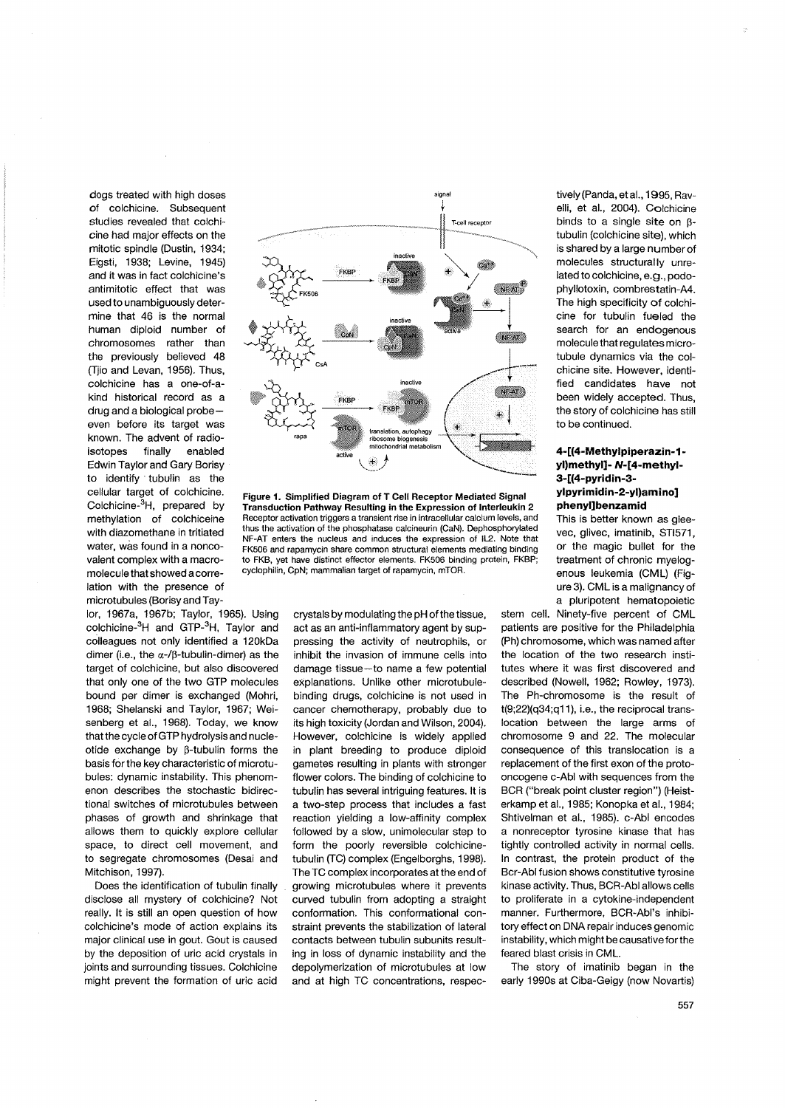dogs treated with high doses of colchicine. Subsequent studies revealed that colchicine had major effects on the mitotic spindle (Dustin, 1934; Eigsti, 1938; Levine, 1945) and it was in fact colchicine's antimitotic effect that was used to unambiguously determine that 46 is the normal human diploid number of chromosomes rather than the previously believed 48 (Tiio and Levan, 1956). Thus, colchicine has a one-of-akind historical record as a drug and a biological probeeven before its target was known. The advent of radioisotopes finally enabled Edwin Taylor and Gary Borisy to identify tubulin as the cellular target of colchicine. Colchicine-3H, prepared by methylation of colchiceine with diazomethane in tritiated water, was found in a noncovalent complex with a macromolecule that showed a correlation with the presence of microtubules (Borisy and Tay-

lor, 1967a, 1967b; Taylor, 1965). Using colchicine-<sup>3</sup>H and GTP-<sup>3</sup>H, Taylor and colleagues not only identified a 120kDa dimer (i.e., the  $\alpha$ -/ $\beta$ -tubulin-dimer) as the target of colchicine, but also discovered that only one of the two GTP molecules bound per dimer is exchanged (Mohri, 1968; Shelanski and Taylor, 1967; Weisenberg et al., 1968). Today, we know that the cycle of GTP hydrolysis and nucleotide exchange by β-tubulin forms the basis for the key characteristic of microtubules: dynamic instability. This phenomenon describes the stochastic bidirectional switches of microtubules between phases of growth and shrinkage that allows them to quickly explore cellular space, to direct cell movement, and to segregate chromosomes (Desai and Mitchison, 1997).

Does the identification of tubulin finally disclose all mystery of colchicine? Not really. It is still an open question of how colchicine's mode of action explains its major clinical use in gout. Gout is caused by the deposition of uric acid crystals in joints and surrounding tissues. Colchicine might prevent the formation of uric acid



Figure 1. Simplified Diagram of T Cell Receptor Mediated Signal Transduction Pathway Resulting in the Expression of Interleukin 2 Receptor activation triggers a transient rise in intracellular calcium levels, and thus the activation of the phosphatase calcineurin (CaN). Dephosphorylated NF-AT enters the nucleus and induces the expression of IL2. Note that FK506 and rapamycin share common structural elements mediating binding to FKB, vet have distinct effector elements. FK506 binding protein, FKBP; cyclophilin, CpN; mammalian target of rapamycin, mTOR.

crystals by modulating the pH of the tissue, act as an anti-inflammatory agent by suppressing the activity of neutrophils, or inhibit the invasion of immune cells into damage tissue-to name a few potential explanations. Unlike other microtubulebinding drugs, colchicine is not used in cancer chemotherapy, probably due to its high toxicity (Jordan and Wilson, 2004). However, colchicine is widely applied in plant breeding to produce diploid gametes resulting in plants with stronger flower colors. The binding of colchicine to tubulin has several intriguing features. It is a two-step process that includes a fast reaction yielding a low-affinity complex followed by a slow, unimolecular step to form the poorly reversible colchicinetubulin (TC) complex (Engelborghs, 1998). The TC complex incorporates at the end of growing microtubules where it prevents curved tubulin from adopting a straight conformation. This conformational constraint prevents the stabilization of lateral contacts between tubulin subunits resulting in loss of dynamic instability and the depolymerization of microtubules at low and at high TC concentrations, respectively (Panda, et al., 1995, Ravelli, et al., 2004). Colchicine binds to a single site on  $\beta$ tubulin (colchicine site), which is shared by a large number of molecules structurally unrelated to colchicine, e.g., podophyllotoxin, combrestatin-A4. The high specificity of colchicine for tubulin fueled the search for an endogenous molecule that regulates microtubule dynamics via the colchicine site. However, identified candidates have not been widely accepted. Thus, the story of colchicine has still to be continued.

# 4-[(4-Methylpiperazin-1yl)methyl]- N-[4-methyl-3-[(4-pyridin-3ylpyrimidin-2-yl)amino] phenyl]benzamid

This is better known as gleevec, glivec, imatinib, STI571, or the magic bullet for the treatment of chronic myelogenous leukemia (CML) (Figure 3). CML is a malignancy of a pluripotent hematopoietic

stem cell. Ninety-five percent of CML patients are positive for the Philadelphia (Ph) chromosome, which was named after the location of the two research institutes where it was first discovered and described (Nowell, 1962; Rowley, 1973). The Ph-chromosome is the result of t(9;22)(q34;q11), i.e., the reciprocal translocation between the large arms of chromosome 9 and 22. The molecular consequence of this translocation is a replacement of the first exon of the protooncogene c-Abl with sequences from the BCR ("break point cluster region") (Heisterkamp et al., 1985; Konopka et al., 1984; Shtivelman et al., 1985), c-Abl encodes a nonreceptor tyrosine kinase that has tightly controlled activity in normal cells. In contrast, the protein product of the Bcr-Abl fusion shows constitutive tyrosine kinase activity. Thus, BCR-Abl allows cells to proliferate in a cytokine-independent manner. Furthermore, BCR-Abl's inhibitory effect on DNA repair induces genomic instability, which might be causative for the feared blast crisis in CML.

The story of imatinib began in the early 1990s at Ciba-Geigy (now Novartis)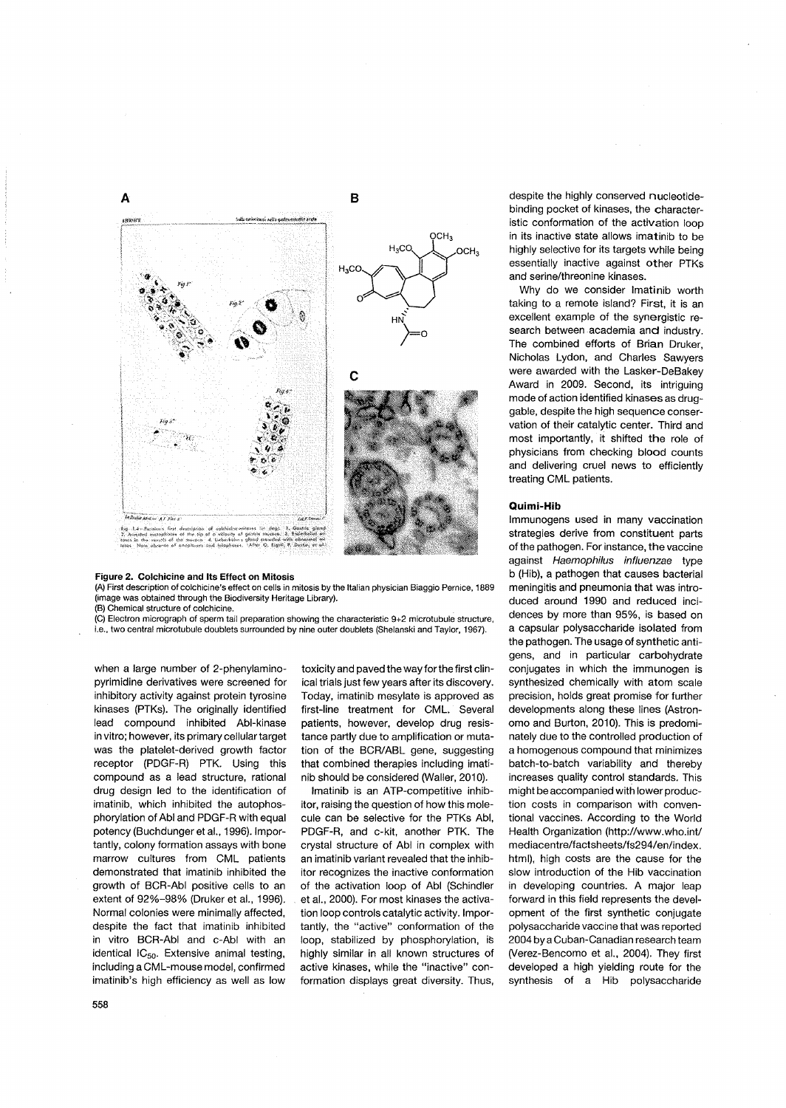

#### **Figure 2. Colchicine and Its Effect on Mitosis**

(A) First description of colchicine's effect on cells in mitosis by the Italian physician Biaggio Pernice, 1889 (image was obtained through the Biodiversity Heritage Library).

(B) Chemical structure of colchicine.

(C) Electron micrograph of sperm tail preparation showing the characteristic 9+2 microtubule structure, i.e., two central microtubule doublets surrounded by nine outer doublets (Shelanski and Taylor, 1967).

when a large number of 2-phenylaminopyrimidine derivatives were screened for inhibitory activity against protein tyrosine kinases (PTKs). The originally identified lead compound inhibited Abl-kinase in vitro; however, its primary cellular target was the platelet-derived growth factor receptor (PDGF-R) PTK. Using this compound as a lead structure, rational drug design led to the identification of imatinib, which inhibited the autophosphorylation of Abl and PDGF-R with equal potency (Buchdunger et aI., 1996). Importantly, colony formation assays with bone marrow cultures from CML patients demonstrated that imatinib inhibited the growth of BCR-Abl positive cells to an extent of 92%-98% (Druker et aI., 1996). Normal colonies were minimally affected, despite the fact that imatinib inhibited in vitro BCR-Abl and c-Abl with an identical IC<sub>50</sub>. Extensive animal testing, including a CML-mouse model, confirmed imatinib's high efficiency as well as low

toxicity and paved the way forthe first clinical trials just few years after its discovery. Today, imatinib mesylate is approved as first-line treatment for CML. Several patients, however, develop drug resistance partly due to amplification or mutation of the BCR/ABL gene, suggesting that combined therapies including imatinib should be considered (Wailer, 2010).

Imatinib is an ATP-competitive inhibitor, raising the question of how this molecule can be selective for the PTKs Abl, PDGF-R, and c-kit, another PTK. The crystal structure of Abl in complex with an imatinib variant revealed that the inhibitor recognizes the inactive conformation of the activation loop of Abl (Schindler et aI., 2000). For most kinases the activation loop controls catalytic activity. Importantly, the "active" conformation of the loop, stabilized by phosphorylation, is highly similar in all known structures of active kinases, while the "inactive" conformation displays great diversity. Thus, despite the highly conserved nucleotidebinding pocket of kinases, the characteristic conformation of the activation loop in its inactive state allows imatinib to be highly selective for its targets while being essentially inactive against other PTKs and serine/threonine kinases.

Why do we consider Imatinib worth taking to a remote island? First, it is an excellent example of the synergistic research between academia and industry. The combined efforts of Brian Druker, Nicholas Lydon, and Charles Sawyers were awarded with the Lasker-DeBakey Award in 2009. Second, its intriguing mode of action identified kinases as druggable, despite the high sequence conservation of their catalytic center. Third and most importantly, it shifted the role of physicians from checking blood counts and delivering cruel news to efficiently treating CML patients.

#### **Quimi-Hib**

Immunogens used in many vaccination strategies derive from constituent parts of the pathogen. For instance, the vaccine against Haemophilus influenzae type b (Hib), a pathogen that causes bacterial meningitis and pneumonia that was introduced around 1990 and reduced incidences by more than 95%, is based on a capsular polysaccharide isolated from the pathogen. The usage of synthetic antigens, and in particular carbohydrate conjugates in which the immunogen is synthesized chemically with atom scale precision, holds great promise for further developments along these lines (Astronomo and Burton, 2010). This is predominately due to the controlled production of a homogenous compound that minimizes batch-to-batch variability and thereby increases quality control standards. This might be accompanied with lower production costs in comparison with conventional vaccines. According to the World Health Organization (http://www.who.inV mediacentre/factsheets/fs294/en/index. html), high costs are the cause for the slow introduction of the Hib vaccination in developing countries. A major leap forward in this field represents the development of the first synthetic conjugate polysaccharide vaccine that was reported 2004 by a Cuban-Canadian research team (Verez-Bencomo et aI., 2004). They first developed a high yielding route for the synthesis of a Hib polysaccharide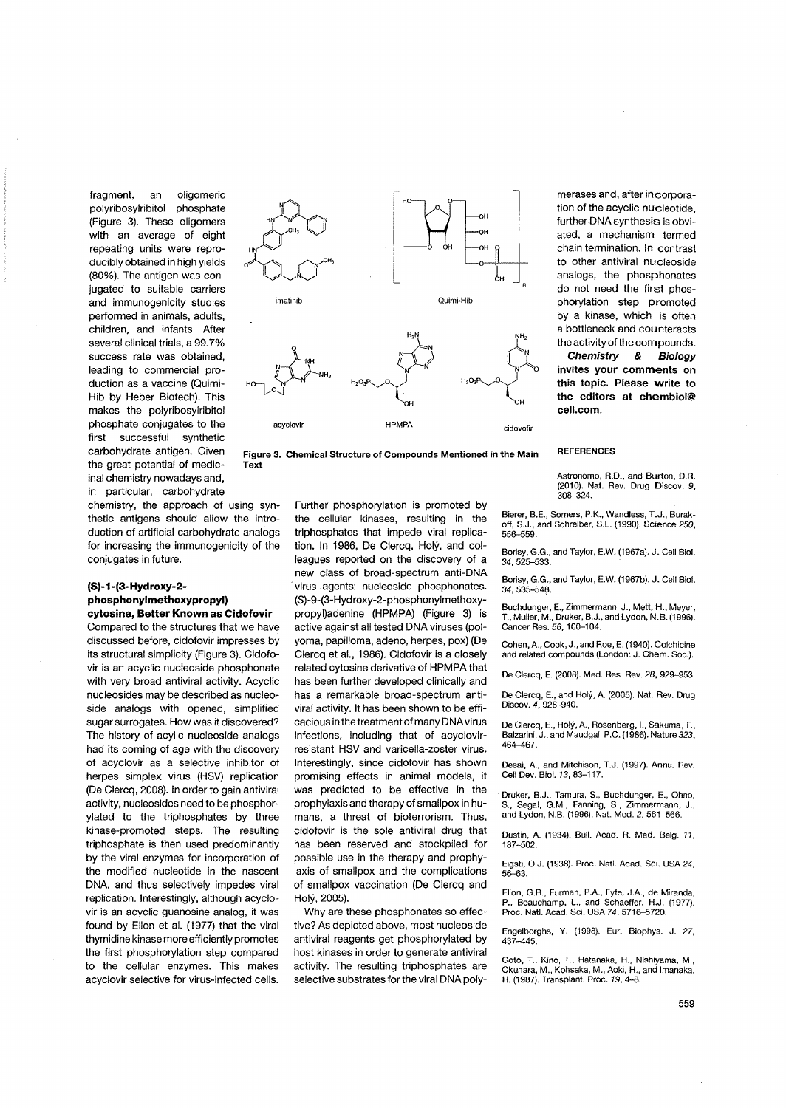fragment, an oligomeric polyribosylribitol phosphate (Figure 3). These oligomers with an average of eight repeating units were reproducibly obtained in high yields (80%). The antigen was conjugated to suitable carriers and immunogenicity studies performed in animals, adults, children, and infants. After several clinical trials, a 99.7% success rate was obtained, leading to commercial production as a vaccine (Quimi-Hib by Heber Biotech). This makes the polyribosylribitol phosphate conjugates to the first successful synthetic carbohydrate antigen. Given the great potential of medicinal chemistry nowadays and, in particular, carbohydrate

chemistry, the approach of using synthetic antigens should allow the introduction of artificial carbohydrate analogs for increasing the immunogenicity of the conjugates in future.

# **(S)-1-(3-Hydroxy-2 phosphonylmethoxypropyl) cytosine, Better Known as Cidofovir**

Compared to the structures that we have discussed before, cidofovir impresses by its structural simplicity (Figure 3). Cidofovir is an acyclic nucleoside phosphonate with very broad antiviral activity. Acyclic nucleosides may be described as nucleoside analogs with opened, simplified sugar surrogates. How was it discovered? The history of acylic nucleoside analogs had its coming of age with the discovery of acyclovir as a selective inhibitor of herpes simplex virus (HSV) replication (De Clercq, 2008). In order to gain antiviral activity, nucleosides need to be phosphorylated to the triphosphates by three kinase-promoted steps. The resulting triphosphate is then used predominantly by the viral enzymes for incorporation of the modified nucleotide in the nascent DNA, and thus selectively impedes viral replication. Interestingly, although acyclovir is an acyclic guanosine analog, it was found by Elion et al. (1977) that the viral thymidine kinase more efficiently promotes the first phosphorylation step compared to the cellular enzymes. This makes acyclovir selective for virus-infected cells.



**Figure 3. Chemical Structure of Compounds Mentioned in the Main Text** 

> Further phosphorylation is promoted by the cellular kinases, resulting in the triphosphates that impede viral replication. In 1986, De Clercq, Holy, and colleagues reported on the discovery of a new class of broad-spectrum anti-DNA . virus agents: nucleoside phosphonates. (S)-9-(3-Hydroxy-2-phosphonylmethoxypropyl)adenine (HPMPA) (Figure 3) is active against all tested DNA viruses (polyoma, papilloma, adeno, herpes, pox) (De Clercq et aI., 1986). Cidofovir is a closely related cytosine derivative of HPMPA that has been further developed clinically and has a remarkable broad-spectrum antiviral activity. **It** has been shown to be efficacious in the treatment of many DNA virus infections, including that of acyclovirresistant HSV and varicella-zoster virus. Interestingly, since cidofovir has shown promising effects in animal models, it was predicted to be effective in the prophylaxis and therapy of smallpox in humans, a threat of bioterrorism. Thus, cidofovir is the sole antiviral drug that has been reserved and stockpiled for possible use in the therapy and prophylaxis of smallpox and the complications of smallpox vaccination (De Clercq and Holy, 2005).

Why are these phosphonates so effective? As depicted above, most nucleoside antiviral reagents get phosphorylated by host kinases in order to generate antiviral activity. The resulting triphosphates are selective substrates for the viral DNA polymerases and, after incorporation of the acyclic nucleotide, further DNA synthesis is obviated, a mechanism termed chain termination. In contrast to other antiviral nucleoside analogs, the phosphonates do not need the first phosphorylation step promoted by a kinase, which is often a bottleneck and counteracts the activity of the corn pounds.

**Chemistry & Biology invites your comments on this topic.** Please **write to the editors at chembiol@ cell.com.** 

#### **REFERENCES**

Astronomo, R.D., and Burton, D.R. (2010). Nat. Rev. Drug Discov. 9,  $308 - 324$ 

Bierer, B.E., Somers, P.K., Wandless, T.J., Burakoff, S.J., and Schreiber, S.L. (1990). Science *250,*  556-559.

Borisy, G.G., and Taylor, E.w. (1967a). J. Cell BioI. 34, 525-533.

Borisy, G.G., and Taylor, E.w. (1967b). J. Cell BioI. 34, 535-548.

Buchdunger, E., Zimmermann, J., Mett, H., Meyer, T., Muller, M., Druker, B.J., and Lydon, N.B. (1996). Cancer Res. 56, 100-104.

Cohen, A., Cook, J., and Roe, E. (1940). Colchicine and related compounds (London: J. Chem. Soc.).

De Clereq, E. (2008). Med. Res. Rev. 28, 929-953.

De Clercq, E., and Holy, A. (2005). Nat. Rev. Drug Discov. 4, 928-940.

De Clercq, E., Holy, A., Rosenberg, I., Sakuma, T., Balzarini, J., and Maudgal, P.C. (1986). Nature 323, 464-467.

Desai, A., and Mitehison, T.J. (1997). Annu. Rev. Cell Dev. BioI. 13,83-117.

Druker, B.J., Tamura, S., Buchdunger, E., Ohno, S., Segal, G.M., Fanning, S., Zimmermann, J., and Lydon, N.B. (1996). Nat. Med. 2,561-566.

Dustin, A. (1934). Bull. Aead. R. Med. Belg. 11, 187-502.

Eigsti, O.J. (1938). Proc. Natl. Aead. Sci. USA 24, 56-63.

Elion, G.B., Furman, PA, Fyfe, J.A., de Miranda, P., Beauchamp, L., and Schaeffer, H.J. (1977).<br>Proc. Natl. Acad. Sci. USA 74, 5716–5720.

Engelborghs, Y. (1998). Eur. Biophys. J. 27, 437-445.

Goto, T., Kino, T., Hatanaka, H., Nishiyama, M., Okuhara, M., Kohsaka, M., Aoki, H., and Imanaka, H. (1987). Transplant. Proe. 19,4-8.